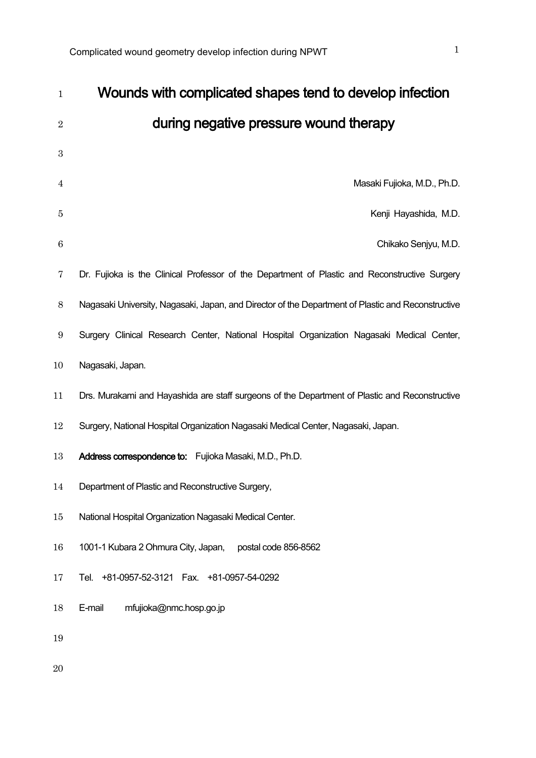| $\mathbf{1}$     | Wounds with complicated shapes tend to develop infection                                           |
|------------------|----------------------------------------------------------------------------------------------------|
| $\overline{2}$   | during negative pressure wound therapy                                                             |
| $\boldsymbol{3}$ |                                                                                                    |
| 4                | Masaki Fujioka, M.D., Ph.D.                                                                        |
| $\overline{5}$   | Kenji Hayashida, M.D.                                                                              |
| $\boldsymbol{6}$ | Chikako Senjyu, M.D.                                                                               |
| 7                | Dr. Fujioka is the Clinical Professor of the Department of Plastic and Reconstructive Surgery      |
| $8\,$            | Nagasaki University, Nagasaki, Japan, and Director of the Department of Plastic and Reconstructive |
| 9                | Surgery Clinical Research Center, National Hospital Organization Nagasaki Medical Center,          |
| 10               | Nagasaki, Japan.                                                                                   |
| 11               | Drs. Murakami and Hayashida are staff surgeons of the Department of Plastic and Reconstructive     |
| 12               | Surgery, National Hospital Organization Nagasaki Medical Center, Nagasaki, Japan.                  |
| 13               | Address correspondence to: Fujioka Masaki, M.D., Ph.D.                                             |
| 14               | Department of Plastic and Reconstructive Surgery,                                                  |
| $15\,$           | National Hospital Organization Nagasaki Medical Center.                                            |
| $16\,$           | 1001-1 Kubara 2 Ohmura City, Japan,<br>postal code 856-8562                                        |
| 17               | Tel.<br>+81-0957-52-3121  Fax. +81-0957-54-0292                                                    |
| 18               | E-mail<br>mfujioka@nmc.hosp.go.jp                                                                  |
| 19               |                                                                                                    |
| 20               |                                                                                                    |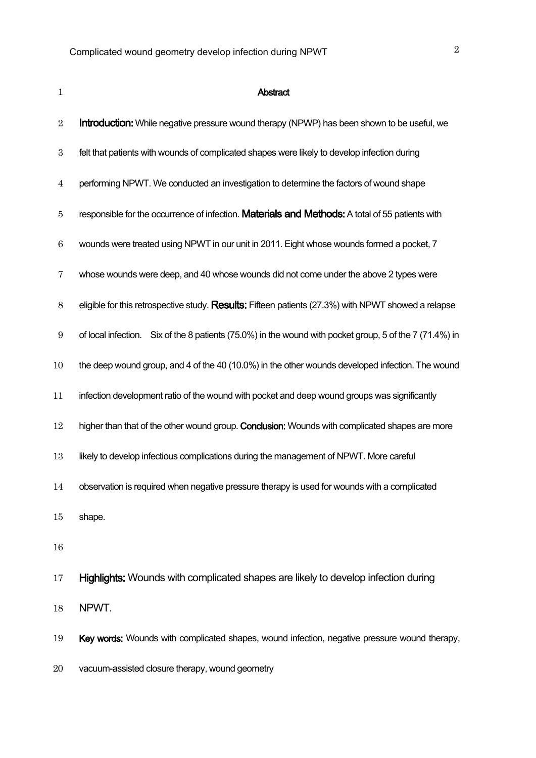| $\mathbf{1}$     | <b>Abstract</b>                                                                                         |
|------------------|---------------------------------------------------------------------------------------------------------|
| $\sqrt{2}$       | <b>Introduction:</b> While negative pressure wound therapy (NPWP) has been shown to be useful, we       |
| $\boldsymbol{3}$ | felt that patients with wounds of complicated shapes were likely to develop infection during            |
| $\overline{4}$   | performing NPWT. We conducted an investigation to determine the factors of wound shape                  |
| $\bf 5$          | responsible for the occurrence of infection. Materials and Methods: A total of 55 patients with         |
| $\,6$            | wounds were treated using NPWT in our unit in 2011. Eight whose wounds formed a pocket, 7               |
| 7                | whose wounds were deep, and 40 whose wounds did not come under the above 2 types were                   |
| $8\,$            | eligible for this retrospective study. Results: Fifteen patients (27.3%) with NPWT showed a relapse     |
| $\boldsymbol{9}$ | of local infection. Six of the 8 patients (75.0%) in the wound with pocket group, 5 of the 7 (71.4%) in |
| 10               | the deep wound group, and 4 of the 40 (10.0%) in the other wounds developed infection. The wound        |
| 11               | infection development ratio of the wound with pocket and deep wound groups was significantly            |
| 12               | higher than that of the other wound group. Conclusion: Wounds with complicated shapes are more          |
| 13               | likely to develop infectious complications during the management of NPWT. More careful                  |
| 14               | observation is required when negative pressure therapy is used for wounds with a complicated            |
| 15               | shape.                                                                                                  |
| 16               |                                                                                                         |
| 17               | Highlights: Wounds with complicated shapes are likely to develop infection during                       |
| 18               | NPWT.                                                                                                   |
| 19               | Key words: Wounds with complicated shapes, wound infection, negative pressure wound therapy,            |
| 20               | vacuum-assisted closure therapy, wound geometry                                                         |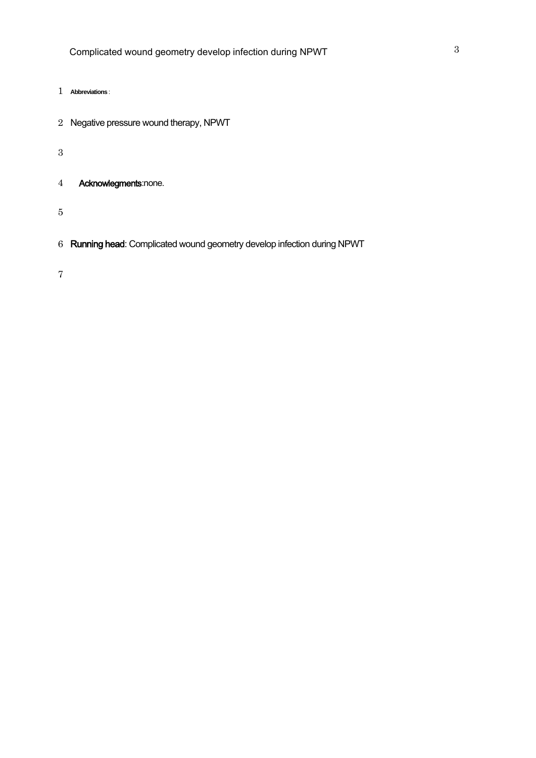- **Abbreviations** :
- Negative pressure wound therapy, NPWT
- 
- Acknowlegments:none.
- 
- Running head: Complicated wound geometry develop infection during NPWT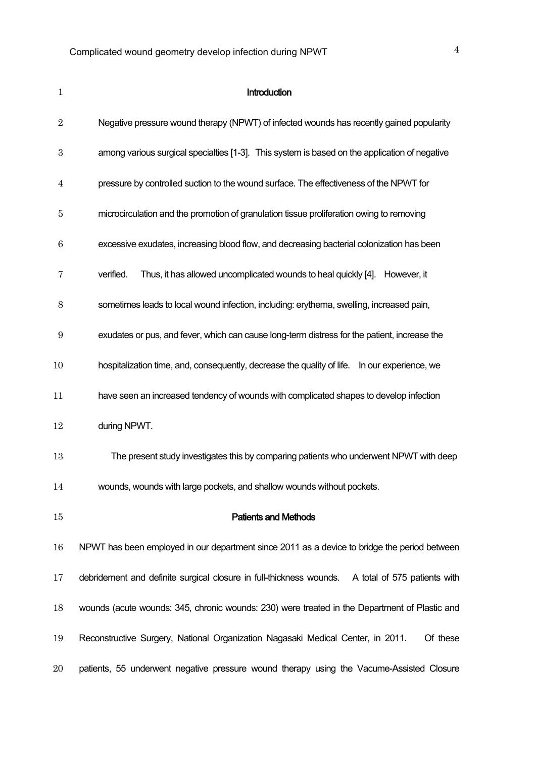| $\mathbf{1}$     | Introduction                                                                                     |
|------------------|--------------------------------------------------------------------------------------------------|
| $\overline{2}$   | Negative pressure wound therapy (NPWT) of infected wounds has recently gained popularity         |
| $\boldsymbol{3}$ | among various surgical specialties [1-3]. This system is based on the application of negative    |
| $\overline{4}$   | pressure by controlled suction to the wound surface. The effectiveness of the NPWT for           |
| $\overline{5}$   | microcirculation and the promotion of granulation tissue proliferation owing to removing         |
| $\boldsymbol{6}$ | excessive exudates, increasing blood flow, and decreasing bacterial colonization has been        |
| 7                | verified.<br>Thus, it has allowed uncomplicated wounds to heal quickly [4]. However, it          |
| 8                | sometimes leads to local wound infection, including: erythema, swelling, increased pain,         |
| $\boldsymbol{9}$ | exudates or pus, and fever, which can cause long-term distress for the patient, increase the     |
| 10               | hospitalization time, and, consequently, decrease the quality of life.  In our experience, we    |
| 11               | have seen an increased tendency of wounds with complicated shapes to develop infection           |
| 12               | during NPWT.                                                                                     |
| 13               | The present study investigates this by comparing patients who underwent NPWT with deep           |
| 14               | wounds, wounds with large pockets, and shallow wounds without pockets.                           |
| $15\,$           | <b>Patients and Methods</b>                                                                      |
| 16               | NPWT has been employed in our department since 2011 as a device to bridge the period between     |
| 17               | debridement and definite surgical closure in full-thickness wounds. A total of 575 patients with |
| 18               | wounds (acute wounds: 345, chronic wounds: 230) were treated in the Department of Plastic and    |
| 19               | Reconstructive Surgery, National Organization Nagasaki Medical Center, in 2011.<br>Of these      |
| $20\,$           | patients, 55 underwent negative pressure wound therapy using the Vacume-Assisted Closure         |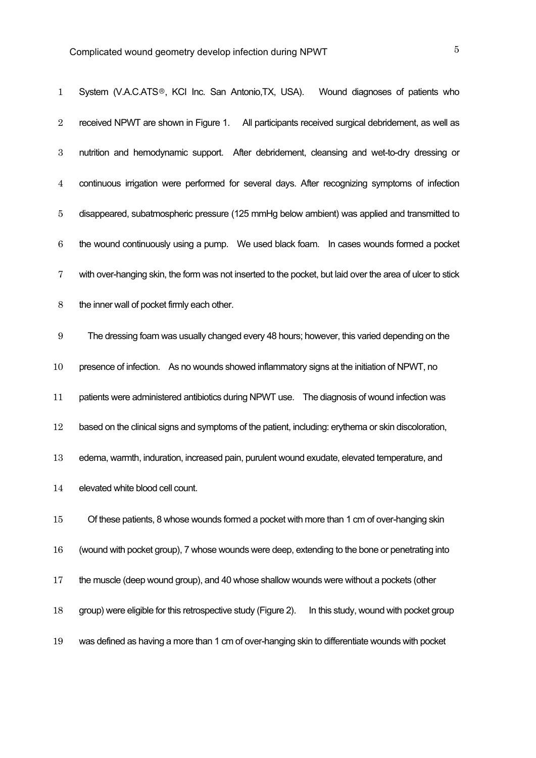| $\mathbf 1$      | System (V.A.C.ATS®, KCI Inc. San Antonio,TX, USA).<br>Wound diagnoses of patients who                     |
|------------------|-----------------------------------------------------------------------------------------------------------|
| $\sqrt{2}$       | received NPWT are shown in Figure 1.<br>All participants received surgical debridement, as well as        |
| $\boldsymbol{3}$ | nutrition and hemodynamic support. After debridement, cleansing and wet-to-dry dressing or                |
| $\overline{4}$   | continuous irrigation were performed for several days. After recognizing symptoms of infection            |
| $\bf 5$          | disappeared, subatmospheric pressure (125 mmHg below ambient) was applied and transmitted to              |
| 6                | the wound continuously using a pump. We used black foam. In cases wounds formed a pocket                  |
| 7                | with over-hanging skin, the form was not inserted to the pocket, but laid over the area of ulcer to stick |
| $8\,$            | the inner wall of pocket firmly each other.                                                               |
| 9                | The dressing foam was usually changed every 48 hours; however, this varied depending on the               |
| 10               | presence of infection. As no wounds showed inflammatory signs at the initiation of NPWT, no               |
| 11               | patients were administered antibiotics during NPWT use. The diagnosis of wound infection was              |
| 12               | based on the clinical signs and symptoms of the patient, including: erythema or skin discoloration,       |
| 13               | edema, warmth, induration, increased pain, purulent wound exudate, elevated temperature, and              |
| 14               | elevated white blood cell count.                                                                          |
| $15\,$           | Of these patients, 8 whose wounds formed a pocket with more than 1 cm of over-hanging skin                |
| 16               | (wound with pocket group), 7 whose wounds were deep, extending to the bone or penetrating into            |
| 17               | the muscle (deep wound group), and 40 whose shallow wounds were without a pockets (other                  |
| 18               | group) were eligible for this retrospective study (Figure 2).<br>In this study, wound with pocket group   |
| 19               | was defined as having a more than 1 cm of over-hanging skin to differentiate wounds with pocket           |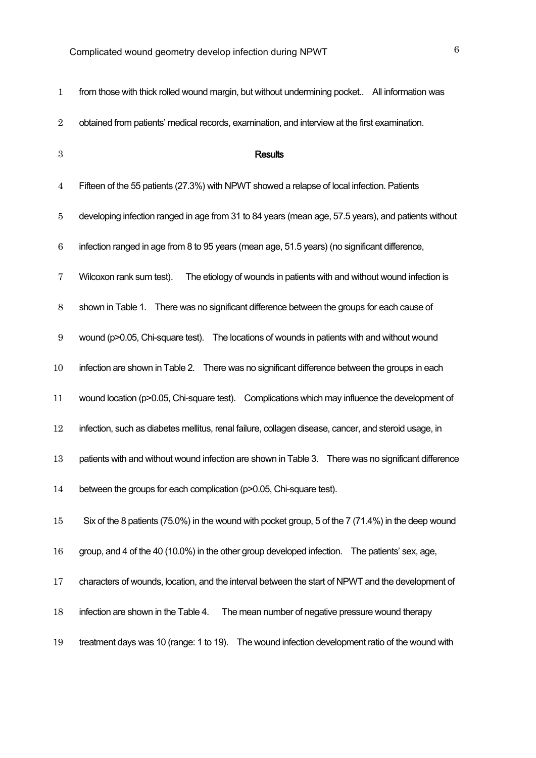| $\mathbf{1}$     | from those with thick rolled wound margin, but without undermining pocket All information was        |
|------------------|------------------------------------------------------------------------------------------------------|
| $\sqrt{2}$       | obtained from patients' medical records, examination, and interview at the first examination.        |
| $\,3$            | <b>Results</b>                                                                                       |
| $\overline{4}$   | Fifteen of the 55 patients (27.3%) with NPWT showed a relapse of local infection. Patients           |
| 5                | developing infection ranged in age from 31 to 84 years (mean age, 57.5 years), and patients without  |
| $\boldsymbol{6}$ | infection ranged in age from 8 to 95 years (mean age, 51.5 years) (no significant difference,        |
| 7                | Wilcoxon rank sum test).<br>The etiology of wounds in patients with and without wound infection is   |
| 8                | There was no significant difference between the groups for each cause of<br>shown in Table 1.        |
| $\boldsymbol{9}$ | wound (p>0.05, Chi-square test). The locations of wounds in patients with and without wound          |
| 10               | infection are shown in Table 2. There was no significant difference between the groups in each       |
| 11               | wound location (p>0.05, Chi-square test). Complications which may influence the development of       |
| 12               | infection, such as diabetes mellitus, renal failure, collagen disease, cancer, and steroid usage, in |
| 13               | patients with and without wound infection are shown in Table 3. There was no significant difference  |
| 14               | between the groups for each complication (p>0.05, Chi-square test).                                  |
| 15               | Six of the 8 patients (75.0%) in the wound with pocket group, 5 of the 7 (71.4%) in the deep wound   |
| 16               | group, and 4 of the 40 (10.0%) in the other group developed infection. The patients' sex, age,       |
| 17               | characters of wounds, location, and the interval between the start of NPWT and the development of    |
| 18               | infection are shown in the Table 4.<br>The mean number of negative pressure wound therapy            |
| 19               | The wound infection development ratio of the wound with<br>treatment days was 10 (range: 1 to 19).   |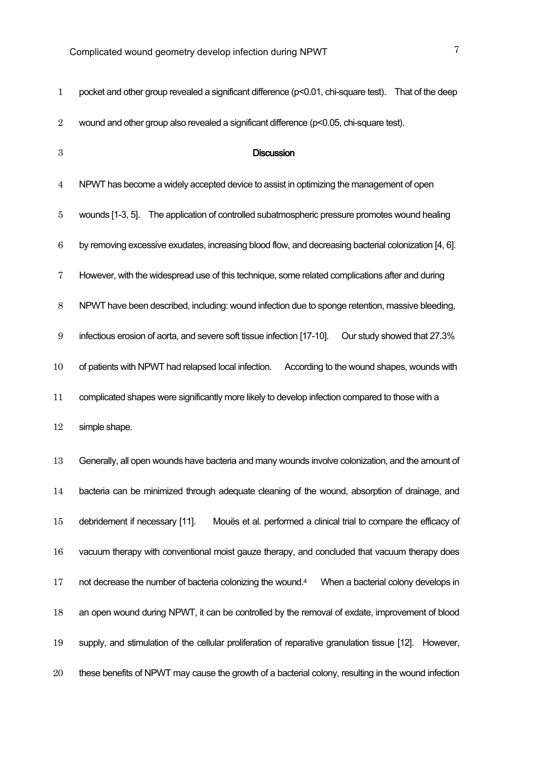| $\mathbf 1$      | pocket and other group revealed a significant difference (p<0.01, chi-square test). That of the deep          |
|------------------|---------------------------------------------------------------------------------------------------------------|
| $\boldsymbol{2}$ | wound and other group also revealed a significant difference (p<0.05, chi-square test).                       |
| $\boldsymbol{3}$ | <b>Discussion</b>                                                                                             |
| $\overline{4}$   | NPWT has become a widely accepted device to assist in optimizing the management of open                       |
| 5                | wounds [1-3, 5]. The application of controlled subatmospheric pressure promotes wound healing                 |
| $\boldsymbol{6}$ | by removing excessive exudates, increasing blood flow, and decreasing bacterial colonization [4, 6].          |
| 7                | However, with the widespread use of this technique, some related complications after and during               |
| $8\,$            | NPWT have been described, including: wound infection due to sponge retention, massive bleeding,               |
| $9\,$            | infectious erosion of aorta, and severe soft tissue infection [17-10].<br>Our study showed that 27.3%         |
| 10               | of patients with NPWT had relapsed local infection.<br>According to the wound shapes, wounds with             |
| 11               | complicated shapes were significantly more likely to develop infection compared to those with a               |
| 12               | simple shape.                                                                                                 |
| 13               | Generally, all open wounds have bacteria and many wounds involve colonization, and the amount of              |
| 14               | bacteria can be minimized through adequate cleaning of the wound, absorption of drainage, and                 |
| $15\,$           | debridement if necessary [11].<br>Mouës et al. performed a clinical trial to compare the efficacy of          |
| 16               | vacuum therapy with conventional moist gauze therapy, and concluded that vacuum therapy does                  |
| 17               | not decrease the number of bacteria colonizing the wound. <sup>4</sup><br>When a bacterial colony develops in |
| 18               | an open wound during NPWT, it can be controlled by the removal of exdate, improvement of blood                |
| 19               | supply, and stimulation of the cellular proliferation of reparative granulation tissue [12]. However,         |
| 20               | these benefits of NPWT may cause the growth of a bacterial colony, resulting in the wound infection           |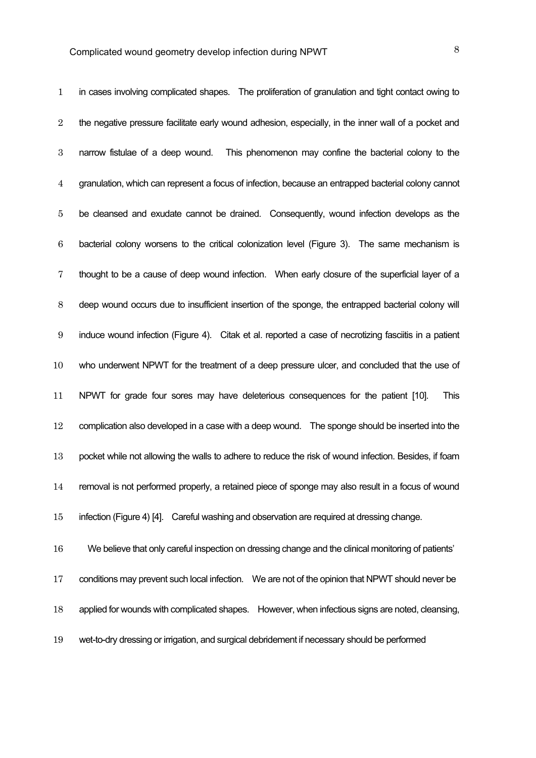| $\mathbf{1}$     | in cases involving complicated shapes. The proliferation of granulation and tight contact owing to    |
|------------------|-------------------------------------------------------------------------------------------------------|
| $\boldsymbol{2}$ | the negative pressure facilitate early wound adhesion, especially, in the inner wall of a pocket and  |
| $\boldsymbol{3}$ | This phenomenon may confine the bacterial colony to the<br>narrow fistulae of a deep wound.           |
| $\overline{4}$   | granulation, which can represent a focus of infection, because an entrapped bacterial colony cannot   |
| 5                | be cleansed and exudate cannot be drained. Consequently, wound infection develops as the              |
| $\boldsymbol{6}$ | bacterial colony worsens to the critical colonization level (Figure 3). The same mechanism is         |
| 7                | thought to be a cause of deep wound infection. When early closure of the superficial layer of a       |
| 8                | deep wound occurs due to insufficient insertion of the sponge, the entrapped bacterial colony will    |
| 9                | induce wound infection (Figure 4). Citak et al. reported a case of necrotizing fasciitis in a patient |
| 10               | who underwent NPWT for the treatment of a deep pressure ulcer, and concluded that the use of          |
| 11               | NPWT for grade four sores may have deleterious consequences for the patient [10].<br>This             |
| 12               | complication also developed in a case with a deep wound.  The sponge should be inserted into the      |
| 13               | pocket while not allowing the walls to adhere to reduce the risk of wound infection. Besides, if foam |
| 14               | removal is not performed properly, a retained piece of sponge may also result in a focus of wound     |
| $15\,$           | infection (Figure 4) [4]. Careful washing and observation are required at dressing change.            |
| 16               | We believe that only careful inspection on dressing change and the clinical monitoring of patients'   |
| 17               | conditions may prevent such local infection. We are not of the opinion that NPWT should never be      |
| 18               | applied for wounds with complicated shapes. However, when infectious signs are noted, cleansing,      |

wet-to-dry dressing or irrigation, and surgical debridement if necessary should be performed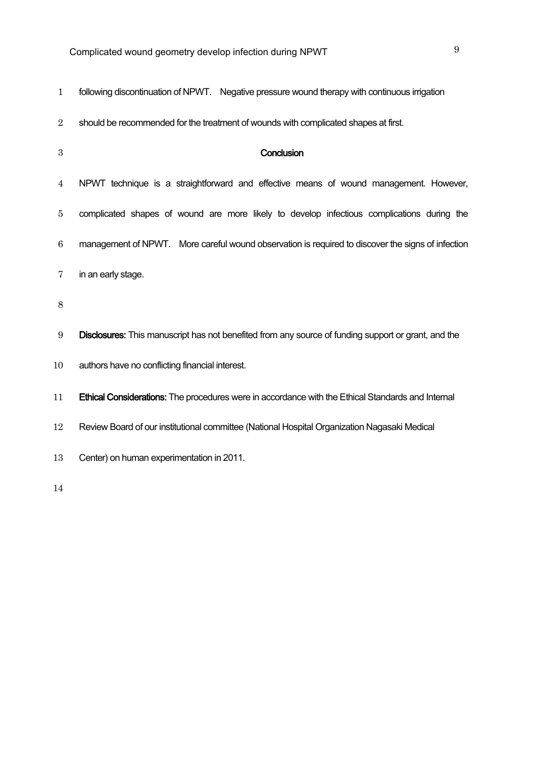| $\mathbf{1}$     | following discontinuation of NPWT. Negative pressure wound therapy with continuous irrigation       |  |  |  |  |  |  |
|------------------|-----------------------------------------------------------------------------------------------------|--|--|--|--|--|--|
| $\overline{2}$   | should be recommended for the treatment of wounds with complicated shapes at first.                 |  |  |  |  |  |  |
| $\boldsymbol{3}$ | Conclusion                                                                                          |  |  |  |  |  |  |
| 4                | NPWT technique is a straightforward and effective means of wound management. However,               |  |  |  |  |  |  |
| $\overline{5}$   | complicated shapes of wound are more likely to develop infectious complications during the          |  |  |  |  |  |  |
| $6\phantom{.}6$  | management of NPWT. More careful wound observation is required to discover the signs of infection   |  |  |  |  |  |  |
| 7                | in an early stage.                                                                                  |  |  |  |  |  |  |
| $8\,$            |                                                                                                     |  |  |  |  |  |  |
| 9                | Disclosures: This manuscript has not benefited from any source of funding support or grant, and the |  |  |  |  |  |  |
| 10               | authors have no conflicting financial interest.                                                     |  |  |  |  |  |  |
| 11               | Ethical Considerations: The procedures were in accordance with the Ethical Standards and Internal   |  |  |  |  |  |  |
| 12               | Review Board of our institutional committee (National Hospital Organization Nagasaki Medical        |  |  |  |  |  |  |
| 13               | Center) on human experimentation in 2011.                                                           |  |  |  |  |  |  |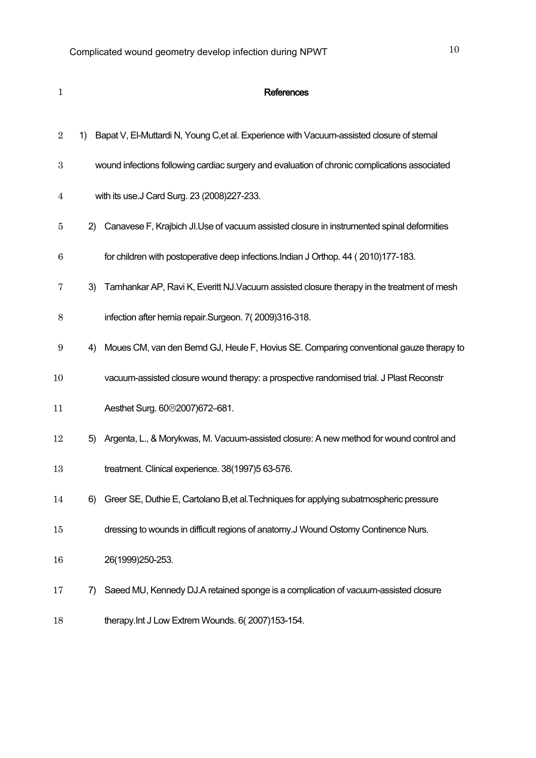| $\mathbf{1}$     |    | <b>References</b>                                                                             |  |  |  |  |  |
|------------------|----|-----------------------------------------------------------------------------------------------|--|--|--|--|--|
| $\boldsymbol{2}$ | 1) | Bapat V, El-Muttardi N, Young C, et al. Experience with Vacuum-assisted closure of sternal    |  |  |  |  |  |
| $\boldsymbol{3}$ |    | wound infections following cardiac surgery and evaluation of chronic complications associated |  |  |  |  |  |
| $\overline{4}$   |    | with its use.J Card Surg. 23 (2008)227-233.                                                   |  |  |  |  |  |
| 5                | 2) | Canavese F, Krajbich JI.Use of vacuum assisted closure in instrumented spinal deformities     |  |  |  |  |  |
| 6                |    | for children with postoperative deep infections. Indian J Orthop. 44 (2010)177-183.           |  |  |  |  |  |
| 7                | 3) | Tamhankar AP, Ravi K, Everitt NJ. Vacuum assisted closure therapy in the treatment of mesh    |  |  |  |  |  |
| 8                |    | infection after hernia repair.Surgeon. 7(2009)316-318.                                        |  |  |  |  |  |
| 9                | 4) | Moues CM, van den Bemd GJ, Heule F, Hovius SE. Comparing conventional gauze therapy to        |  |  |  |  |  |
| 10               |    | vacuum-assisted closure wound therapy: a prospective randomised trial. J Plast Reconstr       |  |  |  |  |  |
| 11               |    | Aesthet Surg. 60 <sup>®</sup> 2007)672-681.                                                   |  |  |  |  |  |
| 12               | 5) | Argenta, L., & Morykwas, M. Vacuum-assisted closure: A new method for wound control and       |  |  |  |  |  |
| 13               |    | treatment. Clinical experience. 38(1997)5 63-576.                                             |  |  |  |  |  |
| 14               | 6) | Greer SE, Duthie E, Cartolano B, et al. Techniques for applying subatmospheric pressure       |  |  |  |  |  |
| 15               |    | dressing to wounds in difficult regions of anatomy.J Wound Ostomy Continence Nurs.            |  |  |  |  |  |
| 16               |    | 26(1999)250-253.                                                                              |  |  |  |  |  |
| 17               | 7) | Saeed MU, Kennedy DJ.A retained sponge is a complication of vacuum-assisted closure           |  |  |  |  |  |
| 18               |    | therapy. Int J Low Extrem Wounds. 6(2007)153-154.                                             |  |  |  |  |  |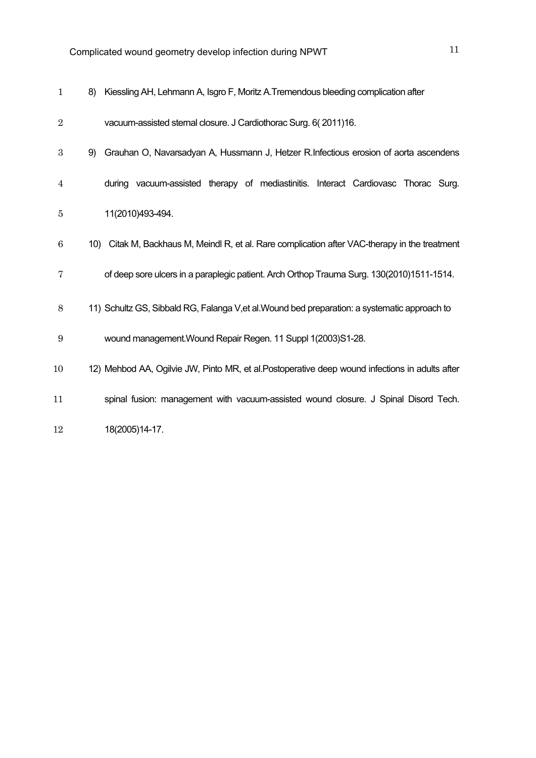| $\mathbf{1}$     | 8) | Kiessling AH, Lehmann A, Isgro F, Moritz A. Tremendous bleeding complication after             |
|------------------|----|------------------------------------------------------------------------------------------------|
| $\overline{2}$   |    | vacuum-assisted sternal closure. J Cardiothorac Surg. 6(2011)16.                               |
| $\boldsymbol{3}$ | 9) | Grauhan O, Navarsadyan A, Hussmann J, Hetzer R.Infectious erosion of aorta ascendens           |
| 4                |    | vacuum-assisted therapy of mediastinitis. Interact Cardiovasc Thorac Surg.<br>durina           |
| 5                |    | 11(2010)493-494.                                                                               |
| $\boldsymbol{6}$ |    | 10) Citak M, Backhaus M, Meindl R, et al. Rare complication after VAC-therapy in the treatment |
| 7                |    | of deep sore ulcers in a paraplegic patient. Arch Orthop Trauma Surg. 130(2010)1511-1514.      |
| $8\,$            |    | 11) Schultz GS, Sibbald RG, Falanga V, et al. Wound bed preparation: a systematic approach to  |
| $9\,$            |    | wound management. Wound Repair Regen. 11 Suppl 1(2003)S1-28.                                   |
| 10               |    | 12) Mehbod AA, Ogilvie JW, Pinto MR, et al.Postoperative deep wound infections in adults after |
| 11               |    | spinal fusion: management with vacuum-assisted wound closure. J Spinal Disord Tech.            |
| 12               |    | 18(2005)14-17.                                                                                 |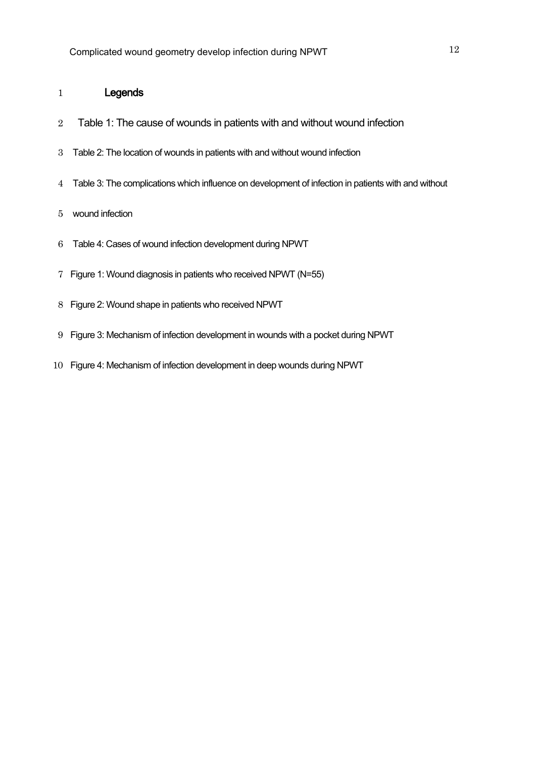#### Legends

- 2 Table 1: The cause of wounds in patients with and without wound infection
- Table 2: The location of wounds in patients with and without wound infection
- Table 3: The complications which influence on development of infection in patients with and without
- wound infection
- Table 4: Cases of wound infection development during NPWT
- Figure 1: Wound diagnosis in patients who received NPWT (N=55)
- Figure 2: Wound shape in patients who received NPWT
- Figure 3: Mechanism of infection development in wounds with a pocket during NPWT
- Figure 4: Mechanism of infection development in deep wounds during NPWT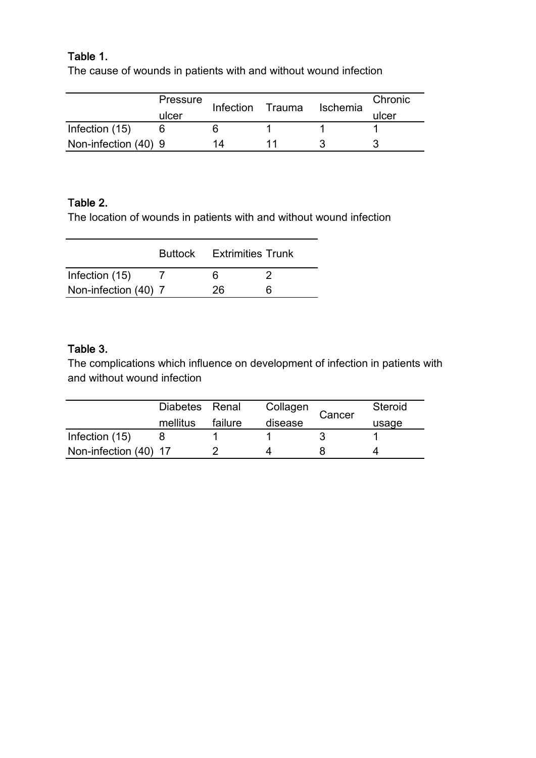### Table 1.

The cause of wounds in patients with and without wound infection

|                      | Pressure | Infection | Trauma | Ischemia | Chronic |
|----------------------|----------|-----------|--------|----------|---------|
|                      | ulcer    |           |        |          | ulcer   |
| Infection (15)       |          |           |        |          |         |
| Non-infection (40) 9 |          | 1Δ.       |        |          |         |

### Table 2.

The location of wounds in patients with and without wound infection

|                      | <b>Buttock</b> | <b>Extrimities Trunk</b> |  |
|----------------------|----------------|--------------------------|--|
| Infection (15)       |                | 6                        |  |
| Non-infection (40) 7 |                | 26                       |  |

### Table 3.

The complications which influence on development of infection in patients with and without wound infection

|                       | Diabetes Renal |         | Collagen | Steroid<br>Cancer |       |
|-----------------------|----------------|---------|----------|-------------------|-------|
|                       | mellitus       | failure | disease  |                   | usage |
| Infection (15)        |                |         |          |                   |       |
| Non-infection (40) 17 |                |         |          |                   |       |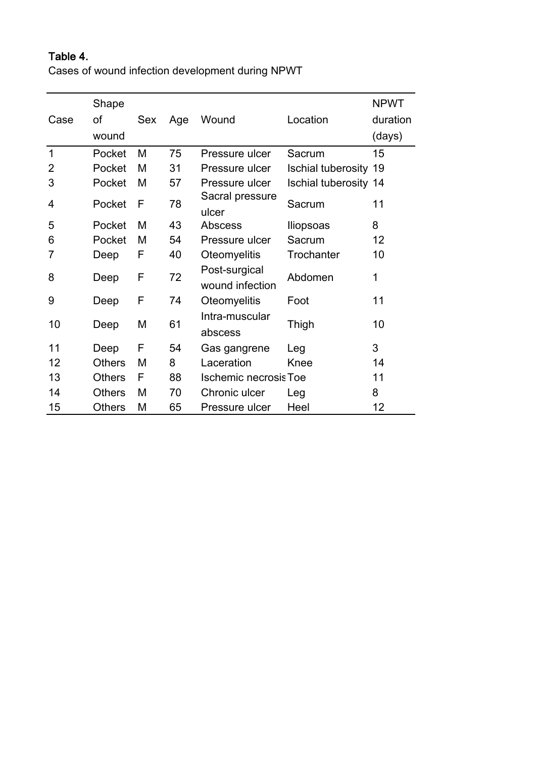### Table 4.

Cases of wound infection development during NPWT

|             | Shape         |     |     |                                  |                              | <b>NPWT</b> |
|-------------|---------------|-----|-----|----------------------------------|------------------------------|-------------|
| Case        | of            | Sex | Age | Wound                            | Location                     | duration    |
|             | wound         |     |     |                                  |                              | (days)      |
| $\mathbf 1$ | Pocket        | M   | 75  | Pressure ulcer                   | Sacrum                       | 15          |
| 2           | Pocket        | M   | 31  | Pressure ulcer                   | <b>Ischial tuberosity 19</b> |             |
| 3           | Pocket        | M   | 57  | Pressure ulcer                   | <b>Ischial tuberosity 14</b> |             |
| 4           | Pocket        | F   | 78  | Sacral pressure<br>ulcer         | Sacrum                       | 11          |
| 5           | Pocket        | М   | 43  | <b>Abscess</b>                   | lliopsoas                    | 8           |
| 6           | Pocket        | M   | 54  | Pressure ulcer                   | Sacrum                       | 12          |
| 7           | Deep          | F   | 40  | Oteomyelitis                     | Trochanter                   | 10          |
| 8           | Deep          | F   | 72  | Post-surgical<br>wound infection | Abdomen                      | 1           |
| 9           | Deep          | F   | 74  | <b>Oteomyelitis</b>              | Foot                         | 11          |
| 10          | Deep          | M   | 61  | Intra-muscular<br>abscess        | Thigh                        | 10          |
| 11          | Deep          | F   | 54  | Gas gangrene                     | Leg                          | 3           |
| 12          | <b>Others</b> | М   | 8   | Laceration                       | Knee                         | 14          |
| 13          | <b>Others</b> | F   | 88  | <b>Ischemic necrosis Toe</b>     |                              | 11          |
| 14          | <b>Others</b> | M   | 70  | Chronic ulcer                    | Leg                          | 8           |
| 15          | <b>Others</b> | М   | 65  | Pressure ulcer                   | Heel                         | 12          |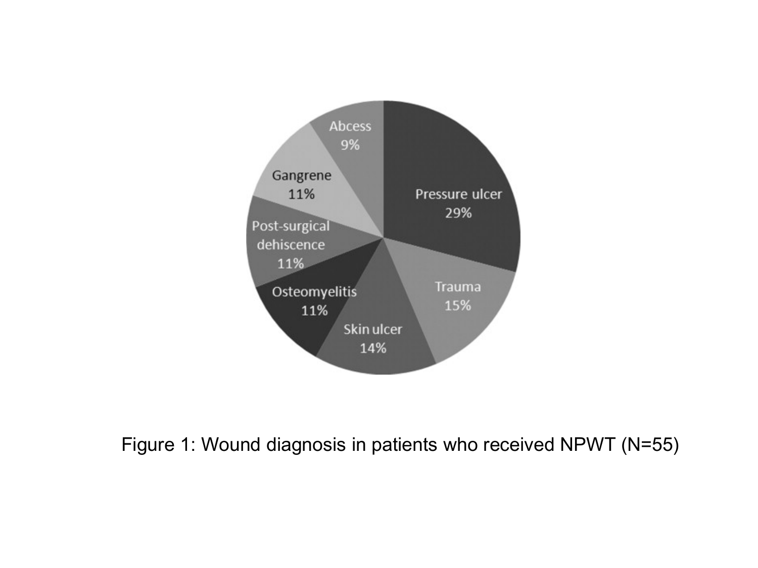

# Figure 1: Wound diagnosis in patients who received NPWT (N=55)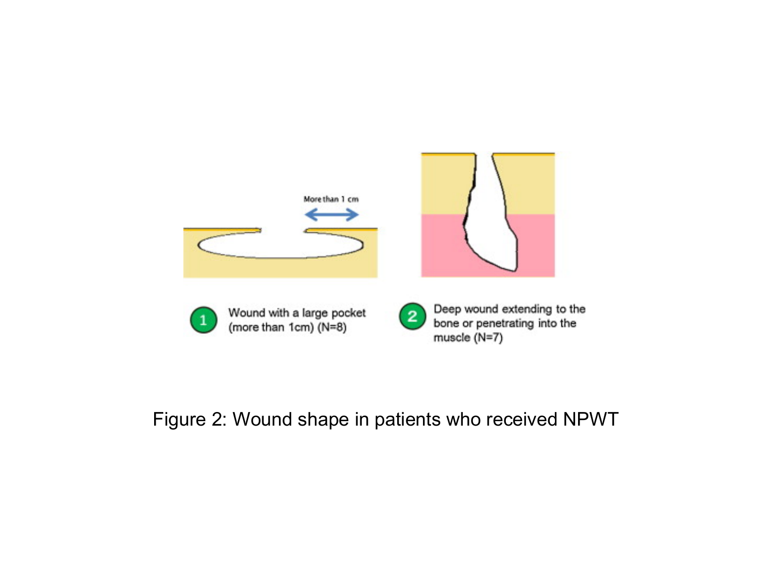

# Figure 2: Wound shape in patients who received NPWT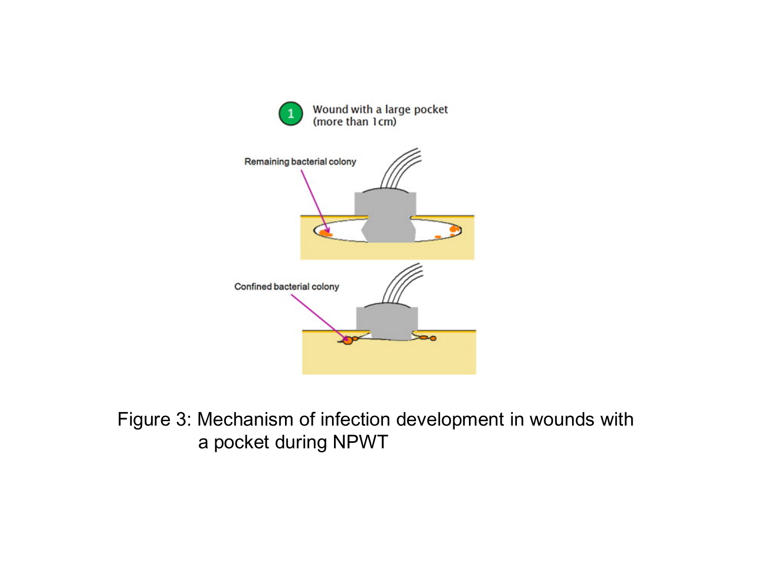



# Figure 3: Mechanism of infection development in wounds with a pocket during NPWT